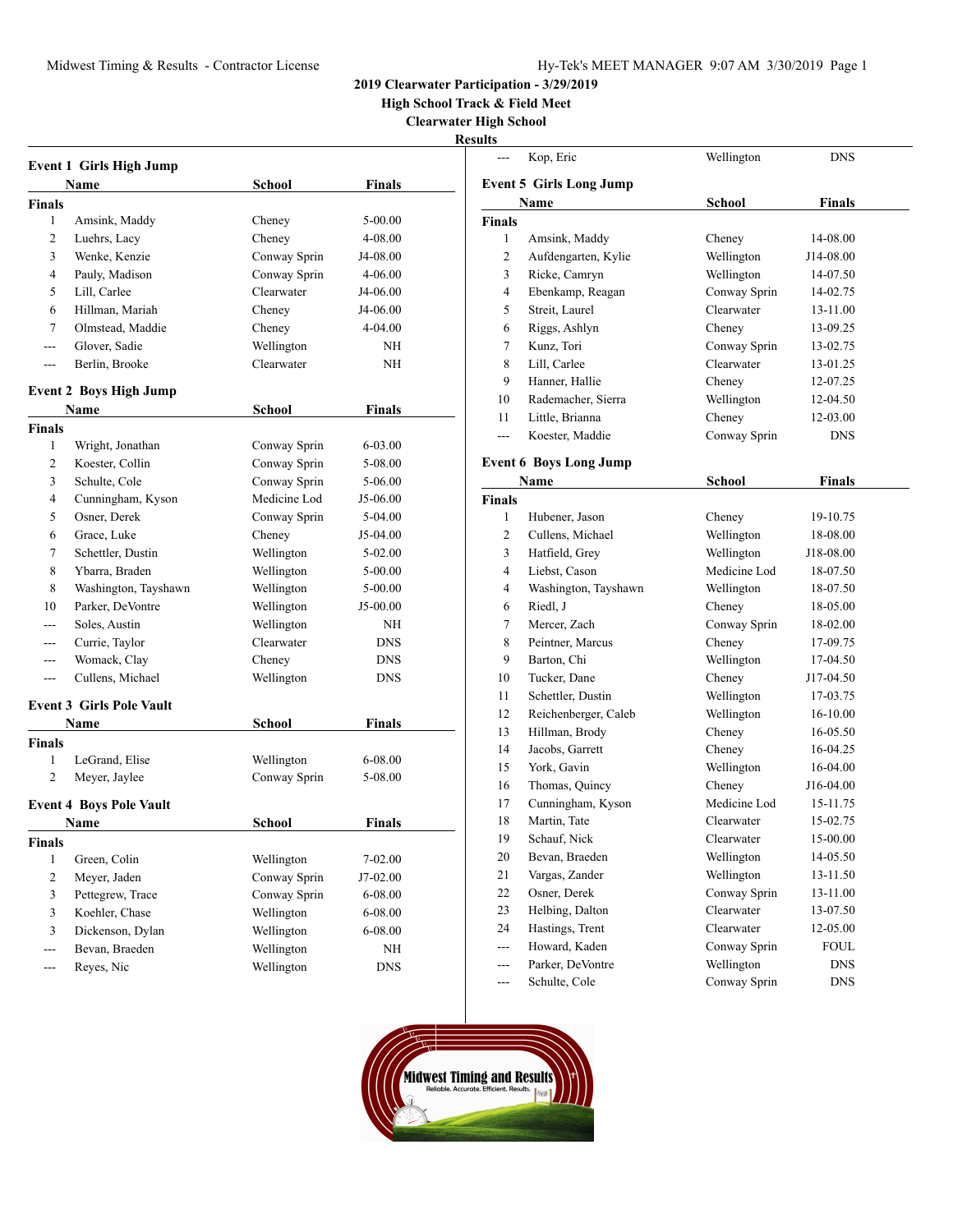**High School Track & Field Meet**

**Clearwater High School**

| ו ח<br>w<br>۳ |
|---------------|
|---------------|

| <b>Event 1 Girls High Jump</b> |                                 |              |               |  |
|--------------------------------|---------------------------------|--------------|---------------|--|
|                                | Name                            | School       | Finals        |  |
| <b>Finals</b>                  |                                 |              |               |  |
| 1                              | Amsink, Maddy                   | Cheney       | 5-00.00       |  |
| 2                              | Luehrs, Lacy                    | Cheney       | 4-08.00       |  |
| 3                              | Wenke, Kenzie                   | Conway Sprin | J4-08.00      |  |
| 4                              | Pauly, Madison                  | Conway Sprin | 4-06.00       |  |
| 5                              | Lill, Carlee                    | Clearwater   | J4-06.00      |  |
| 6                              | Hillman, Mariah                 | Cheney       | J4-06.00      |  |
| 7                              | Olmstead, Maddie                | Cheney       | 4-04.00       |  |
| $---$                          | Glover, Sadie                   | Wellington   | NH            |  |
| $---$                          | Berlin, Brooke                  | Clearwater   | NΗ            |  |
|                                | <b>Event 2 Boys High Jump</b>   |              |               |  |
|                                | Name                            | School       | <b>Finals</b> |  |
| <b>Finals</b>                  |                                 |              |               |  |
| 1                              | Wright, Jonathan                | Conway Sprin | $6 - 03.00$   |  |
| 2                              | Koester, Collin                 | Conway Sprin | 5-08.00       |  |
| 3                              | Schulte, Cole                   | Conway Sprin | 5-06.00       |  |
| 4                              | Cunningham, Kyson               | Medicine Lod | J5-06.00      |  |
| 5                              | Osner, Derek                    | Conway Sprin | 5-04.00       |  |
| 6                              | Grace, Luke                     | Cheney       | J5-04.00      |  |
| 7                              | Schettler, Dustin               | Wellington   | 5-02.00       |  |
| 8                              | Ybarra, Braden                  | Wellington   | $5 - 00.00$   |  |
| 8                              | Washington, Tayshawn            | Wellington   | 5-00.00       |  |
| 10                             | Parker, DeVontre                | Wellington   | J5-00.00      |  |
| ---                            | Soles, Austin                   | Wellington   | NH            |  |
| ---                            | Currie, Taylor                  | Clearwater   | <b>DNS</b>    |  |
| ---                            | Womack, Clay                    | Cheney       | DNS           |  |
| ---                            | Cullens, Michael                | Wellington   | <b>DNS</b>    |  |
|                                | <b>Event 3 Girls Pole Vault</b> |              |               |  |
|                                | Name                            | School       | Finals        |  |
| <b>Finals</b>                  |                                 |              |               |  |
| 1                              | LeGrand, Elise                  | Wellington   | 6-08.00       |  |
| 2                              | Meyer, Jaylee                   | Conway Sprin | 5-08.00       |  |
|                                | <b>Event 4 Boys Pole Vault</b>  |              |               |  |
|                                | Name                            | School       | <b>Finals</b> |  |
| <b>Finals</b>                  |                                 |              |               |  |
| 1                              | Green, Colin                    | Wellington   | 7-02.00       |  |
| $\sqrt{2}$                     | Meyer, Jaden                    | Conway Sprin | J7-02.00      |  |
| 3                              | Pettegrew, Trace                | Conway Sprin | $6 - 08.00$   |  |
| 3                              | Koehler, Chase                  | Wellington   | 6-08.00       |  |
| 3                              | Dickenson, Dylan                | Wellington   | 6-08.00       |  |
| ---                            | Bevan, Braeden                  | Wellington   | NΗ            |  |
| ---                            | Reyes, Nic                      | Wellington   | <b>DNS</b>    |  |

| นแร           |                                |               |               |  |
|---------------|--------------------------------|---------------|---------------|--|
|               | Kop, Eric                      | Wellington    | <b>DNS</b>    |  |
|               | <b>Event 5 Girls Long Jump</b> |               |               |  |
|               | Name                           | <b>School</b> | <b>Finals</b> |  |
| <b>Finals</b> |                                |               |               |  |
| 1             | Amsink, Maddy                  | Cheney        | 14-08.00      |  |
| 2             | Aufdengarten, Kylie            | Wellington    | J14-08.00     |  |
| 3             | Ricke, Camryn                  | Wellington    | 14-07.50      |  |
| 4             | Ebenkamp, Reagan               | Conway Sprin  | 14-02.75      |  |
| 5             | Streit, Laurel                 | Clearwater    | 13-11.00      |  |
| 6             | Riggs, Ashlyn                  | Cheney        | 13-09.25      |  |
| 7             | Kunz, Tori                     | Conway Sprin  | 13-02.75      |  |
| 8             | Lill, Carlee                   | Clearwater    | 13-01.25      |  |
| 9             | Hanner, Hallie                 | Cheney        | 12-07.25      |  |
| 10            | Rademacher, Sierra             | Wellington    | 12-04.50      |  |
| 11            | Little, Brianna                | Cheney        | 12-03.00      |  |
| $-$           | Koester, Maddie                | Conway Sprin  | <b>DNS</b>    |  |
|               | <b>Event 6 Boys Long Jump</b>  |               |               |  |
|               | Name                           | <b>School</b> | <b>Finals</b> |  |
| <b>Finals</b> |                                |               |               |  |
| 1             | Hubener, Jason                 | Cheney        | 19-10.75      |  |
| 2             | Cullens, Michael               | Wellington    | 18-08.00      |  |
| 3             | Hatfield, Grey                 | Wellington    | J18-08.00     |  |
| 4             | Liebst, Cason                  | Medicine Lod  | 18-07.50      |  |
| 4             | Washington, Tayshawn           | Wellington    | 18-07.50      |  |
| 6             | Riedl, J                       | Cheney        | 18-05.00      |  |
| 7             | Mercer, Zach                   | Conway Sprin  | 18-02.00      |  |
| 8             | Peintner, Marcus               | Cheney        | 17-09.75      |  |
| 9             | Barton, Chi                    | Wellington    | 17-04.50      |  |
| 10            | Tucker, Dane                   | Cheney        | J17-04.50     |  |
| 11            | Schettler, Dustin              | Wellington    | 17-03.75      |  |
| 12            | Reichenberger, Caleb           | Wellington    | 16-10.00      |  |
| 13            | Hillman, Brody                 | Cheney        | 16-05.50      |  |
| 14            | Jacobs, Garrett                | Cheney        | 16-04.25      |  |
| 15            | York, Gavin                    | Wellington    | 16-04.00      |  |
| 16            | Thomas, Quincy                 | Cheney        | J16-04.00     |  |
| 17            | Cunningham, Kyson              | Medicine Lod  | 15-11.75      |  |
| 18            | Martin, Tate                   | Clearwater    | 15-02.75      |  |
| 19            | Schauf, Nick                   | Clearwater    | 15-00.00      |  |
| 20            | Bevan, Braeden                 | Wellington    | 14-05.50      |  |
| 21            | Vargas, Zander                 | Wellington    | 13-11.50      |  |
| 22            | Osner, Derek                   | Conway Sprin  | 13-11.00      |  |
| 23            | Helbing, Dalton                | Clearwater    | 13-07.50      |  |
| 24            | Hastings, Trent                | Clearwater    | 12-05.00      |  |
| ---           | Howard, Kaden                  | Conway Sprin  | <b>FOUL</b>   |  |
| ---           | Parker, DeVontre               | Wellington    | <b>DNS</b>    |  |
| ---           | Schulte, Cole                  | Conway Sprin  | DNS           |  |

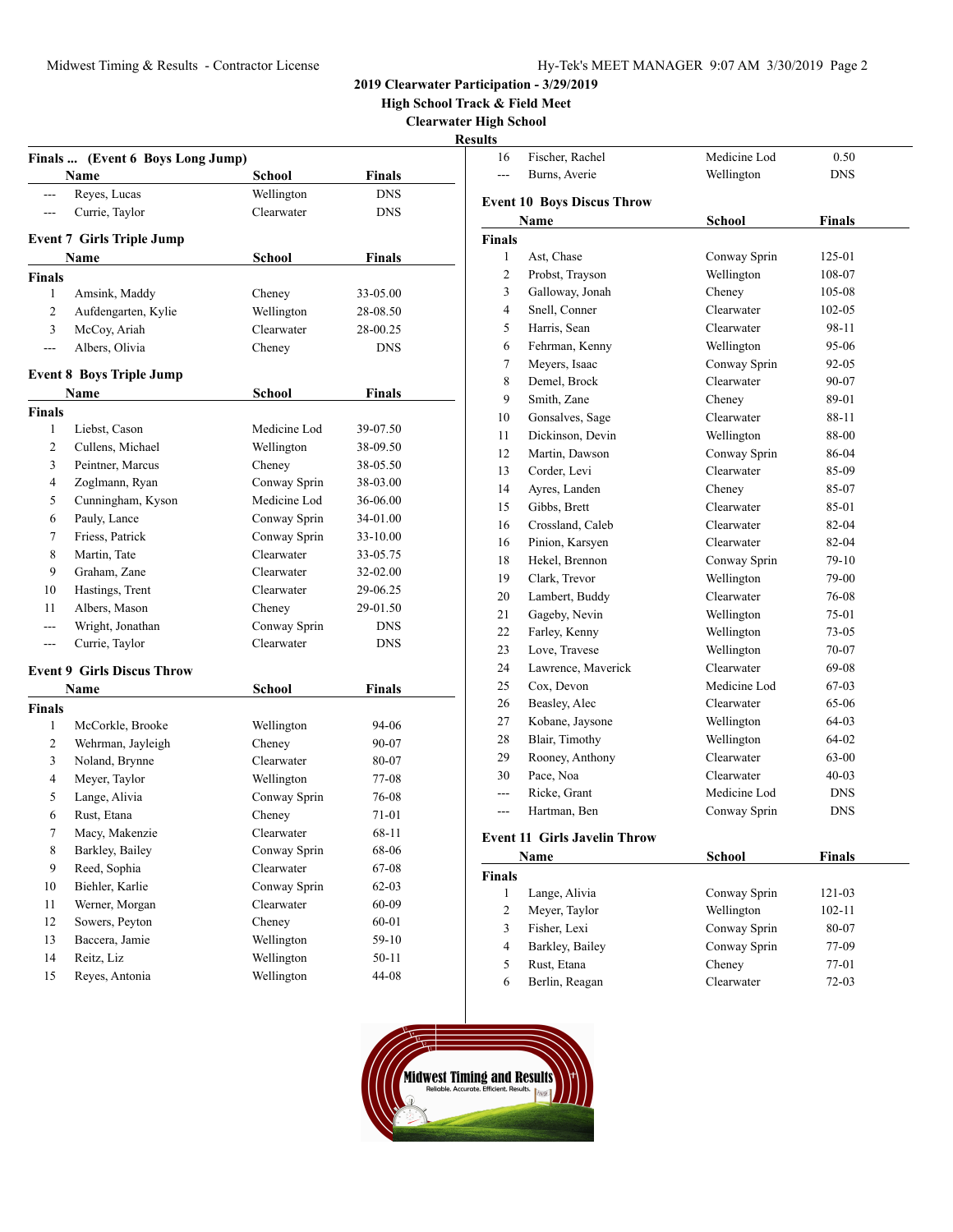**High School Track & Field Meet**

**Clearwater High School**

**Results** 

|                | Finals  (Event 6 Boys Long Jump)  |               |               |
|----------------|-----------------------------------|---------------|---------------|
|                | Name                              | School        | <b>Finals</b> |
| ---            | Reyes, Lucas                      | Wellington    | <b>DNS</b>    |
| $---$          | Currie, Taylor                    | Clearwater    | <b>DNS</b>    |
|                | <b>Event 7 Girls Triple Jump</b>  |               |               |
|                | Name                              | <b>School</b> | <b>Finals</b> |
| Finals         |                                   |               |               |
| $\mathbf{1}$   | Amsink, Maddy                     | Cheney        | 33-05.00      |
| $\overline{c}$ | Aufdengarten, Kylie               | Wellington    | 28-08.50      |
| 3              | McCoy, Ariah                      | Clearwater    | 28-00.25      |
| ---            | Albers, Olivia                    | Cheney        | <b>DNS</b>    |
|                | <b>Event 8 Boys Triple Jump</b>   |               |               |
|                | Name                              | <b>School</b> | <b>Finals</b> |
| Finals         |                                   |               |               |
| 1              | Liebst, Cason                     | Medicine Lod  | 39-07.50      |
| 2              | Cullens, Michael                  | Wellington    | 38-09.50      |
| 3              | Peintner, Marcus                  | Cheney        | 38-05.50      |
| 4              | Zoglmann, Ryan                    | Conway Sprin  | 38-03.00      |
| 5              | Cunningham, Kyson                 | Medicine Lod  | 36-06.00      |
| 6              | Pauly, Lance                      | Conway Sprin  | 34-01.00      |
| 7              | Friess, Patrick                   | Conway Sprin  | 33-10.00      |
| 8              | Martin, Tate                      | Clearwater    | 33-05.75      |
| 9              | Graham, Zane                      | Clearwater    | 32-02.00      |
| 10             | Hastings, Trent                   | Clearwater    | 29-06.25      |
| 11             | Albers, Mason                     | Cheney        | 29-01.50      |
| ---            | Wright, Jonathan                  | Conway Sprin  | <b>DNS</b>    |
| ---            | Currie, Taylor                    | Clearwater    | <b>DNS</b>    |
|                | <b>Event 9 Girls Discus Throw</b> |               |               |
|                | Name                              | <b>School</b> | <b>Finals</b> |
| <b>Finals</b>  |                                   |               |               |
| 1              | McCorkle, Brooke                  | Wellington    | 94-06         |
| 2              | Wehrman, Jayleigh                 | Cheney        | 90-07         |
| 3              | Noland, Brynne                    | Clearwater    | 80-07         |
| 4              | Meyer, Taylor                     | Wellington    | 77-08         |
| 5              | Lange, Alivia                     | Conway Sprin  | 76-08         |
| 6              | Rust, Etana                       | Cheney        | 71-01         |
| 7              | Macy, Makenzie                    | Clearwater    | 68-11         |
| 8              | Barkley, Bailey                   | Conway Sprin  | 68-06         |
| 9              | Reed, Sophia                      | Clearwater    | 67-08         |
| $10\,$         | Biehler, Karlie                   | Conway Sprin  | $62 - 03$     |
| 11             | Werner, Morgan                    | Clearwater    | 60-09         |
| 12             | Sowers, Peyton                    | Cheney        | $60 - 01$     |
| 13             | Baccera, Jamie                    | Wellington    | $59-10$       |
| 14             | Reitz, Liz                        | Wellington    | $50 - 11$     |
| 15             | Reyes, Antonia                    | Wellington    | 44-08         |

| ults               |                                     |                      |                  |  |
|--------------------|-------------------------------------|----------------------|------------------|--|
| 16                 | Fischer, Rachel                     | Medicine Lod         | 0.50             |  |
| $---$              | Burns, Averie                       | Wellington           | <b>DNS</b>       |  |
|                    |                                     |                      |                  |  |
|                    | <b>Event 10 Boys Discus Throw</b>   |                      |                  |  |
|                    | Name                                | <b>School</b>        | Finals           |  |
| <b>Finals</b><br>1 |                                     |                      |                  |  |
| $\overline{c}$     | Ast, Chase                          | Conway Sprin         | 125-01           |  |
| 3                  | Probst, Trayson<br>Galloway, Jonah  | Wellington<br>Cheney | 108-07<br>105-08 |  |
| $\overline{4}$     | Snell, Conner                       | Clearwater           | 102-05           |  |
| 5                  | Harris, Sean                        | Clearwater           | 98-11            |  |
| 6                  | Fehrman, Kenny                      | Wellington           | 95-06            |  |
| 7                  | Meyers, Isaac                       | Conway Sprin         | 92-05            |  |
| 8                  | Demel, Brock                        | Clearwater           | 90-07            |  |
| 9                  | Smith, Zane                         | Cheney               | 89-01            |  |
| 10                 | Gonsalves, Sage                     | Clearwater           | 88-11            |  |
| 11                 | Dickinson, Devin                    | Wellington           | 88-00            |  |
| 12                 | Martin, Dawson                      | Conway Sprin         | 86-04            |  |
| 13                 | Corder, Levi                        | Clearwater           | 85-09            |  |
| 14                 | Ayres, Landen                       | Cheney               | 85-07            |  |
| 15                 | Gibbs, Brett                        | Clearwater           | 85-01            |  |
| 16                 | Crossland, Caleb                    | Clearwater           | 82-04            |  |
| 16                 | Pinion, Karsyen                     | Clearwater           | 82-04            |  |
| 18                 | Hekel, Brennon                      | Conway Sprin         | 79-10            |  |
| 19                 | Clark, Trevor                       | Wellington           | 79-00            |  |
| 20                 | Lambert, Buddy                      | Clearwater           | 76-08            |  |
| 21                 | Gageby, Nevin                       | Wellington           | 75-01            |  |
| 22                 | Farley, Kenny                       | Wellington           | $73 - 05$        |  |
| 23                 | Love, Travese                       | Wellington           | 70-07            |  |
| 24                 | Lawrence, Maverick                  | Clearwater           | 69-08            |  |
| 25                 | Cox, Devon                          | Medicine Lod         | 67-03            |  |
| 26                 | Beasley, Alec                       | Clearwater           | 65-06            |  |
| 27                 | Kobane, Jaysone                     | Wellington           | 64-03            |  |
| 28                 | Blair, Timothy                      | Wellington           | 64-02            |  |
| 29                 | Rooney, Anthony                     | Clearwater           | 63-00            |  |
| 30                 | Pace, Noa                           | Clearwater           | $40 - 03$        |  |
| $---$              | Ricke, Grant                        | Medicine Lod         | <b>DNS</b>       |  |
| $-$                | Hartman, Ben                        | Conway Sprin         | <b>DNS</b>       |  |
|                    |                                     |                      |                  |  |
|                    | <b>Event 11 Girls Javelin Throw</b> |                      |                  |  |
|                    | Name                                | School               | Finals           |  |
| <b>Finals</b>      | $1 - I_{\text{max}}$ Alixis         | $C_{\text{anif}}$    | 12102            |  |
|                    |                                     |                      |                  |  |

|   | Lange, Alivia   | Conway Sprin | 121-03     |
|---|-----------------|--------------|------------|
|   | Meyer, Taylor   | Wellington   | $102 - 11$ |
|   | Fisher, Lexi    | Conway Sprin | 80-07      |
| 4 | Barkley, Bailey | Conway Sprin | 77-09      |
|   | Rust, Etana     | Cheney       | $77-01$    |
| 6 | Berlin, Reagan  | Clearwater   | $72-03$    |
|   |                 |              |            |

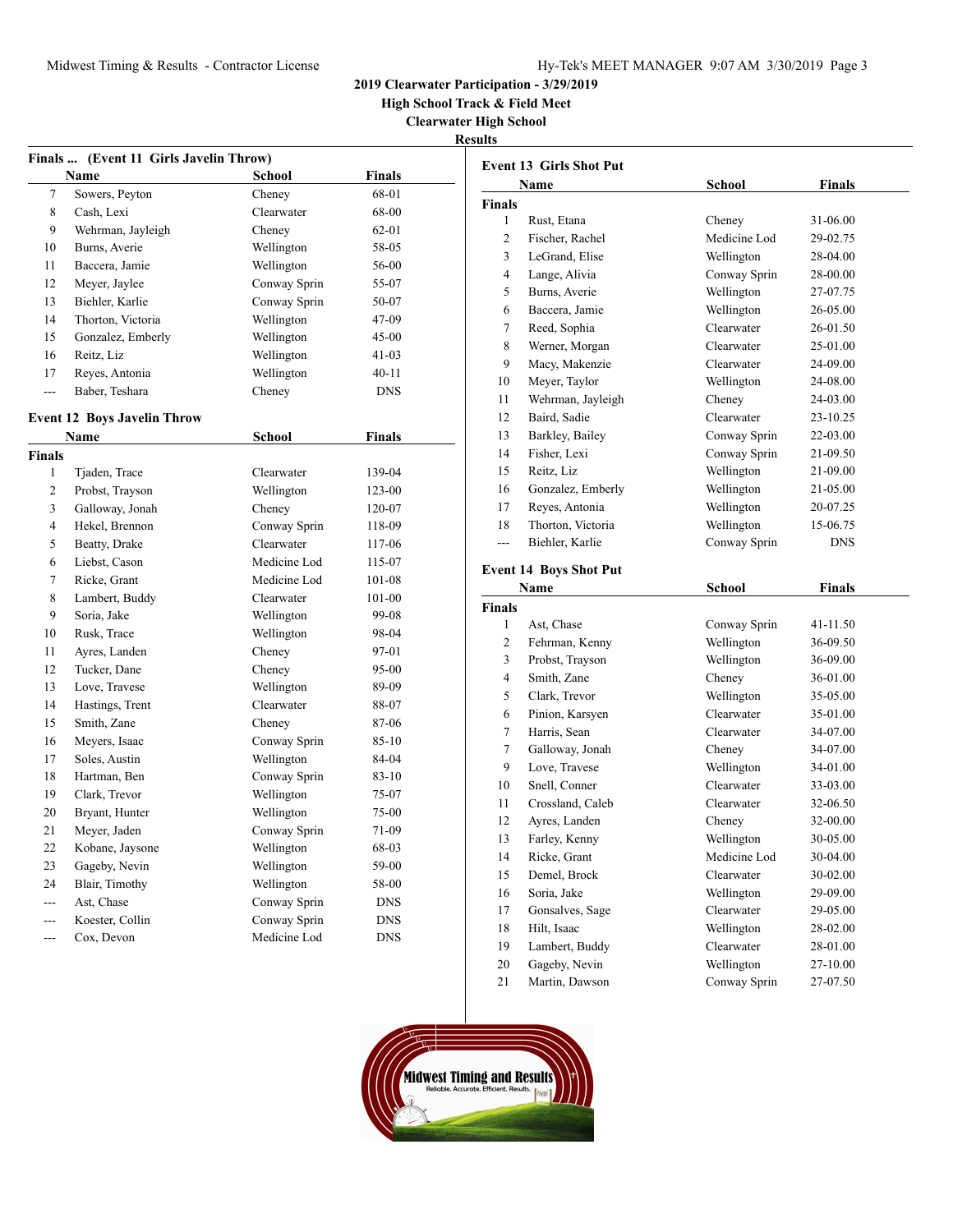**High School Track & Field Meet**

**Clearwater High School**

|--|

| Finals  (Event 11 Girls Javelin Throw) |                                    |               |               |  |
|----------------------------------------|------------------------------------|---------------|---------------|--|
|                                        | Name                               | School        | Finals        |  |
| 7                                      | Sowers, Peyton                     | Cheney        | 68-01         |  |
| 8                                      | Cash, Lexi                         | Clearwater    | 68-00         |  |
| 9                                      | Wehrman, Jayleigh                  | Cheney        | 62-01         |  |
| 10                                     | Burns, Averie                      | Wellington    | 58-05         |  |
| 11                                     | Baccera, Jamie                     | Wellington    | 56-00         |  |
| 12                                     | Meyer, Jaylee                      | Conway Sprin  | 55-07         |  |
| 13                                     | Biehler, Karlie                    | Conway Sprin  | 50-07         |  |
| 14                                     | Thorton, Victoria                  | Wellington    | 47-09         |  |
| 15                                     | Gonzalez, Emberly                  | Wellington    | $45 - 00$     |  |
| 16                                     | Reitz, Liz                         | Wellington    | $41 - 03$     |  |
| 17                                     | Reyes, Antonia                     | Wellington    | $40 - 11$     |  |
| $\overline{a}$                         | Baber, Teshara                     | Cheney        | <b>DNS</b>    |  |
|                                        | <b>Event 12 Boys Javelin Throw</b> |               |               |  |
|                                        | Name                               | <b>School</b> | <b>Finals</b> |  |
| Finals                                 |                                    |               |               |  |
| 1                                      | Tjaden, Trace                      | Clearwater    | 139-04        |  |
| $\overline{c}$                         | Probst, Trayson                    | Wellington    | 123-00        |  |
| 3                                      | Galloway, Jonah                    | Cheney        | 120-07        |  |
| $\overline{4}$                         | Hekel, Brennon                     | Conway Sprin  | 118-09        |  |
| 5                                      | Beatty, Drake                      | Clearwater    | 117-06        |  |
| 6                                      | Liebst, Cason                      | Medicine Lod  | 115-07        |  |
| $\overline{7}$                         | Ricke, Grant                       | Medicine Lod  | 101-08        |  |
| 8                                      | Lambert, Buddy                     | Clearwater    | $101 - 00$    |  |
| 9                                      | Soria, Jake                        | Wellington    | 99-08         |  |
| 10                                     | Rusk, Trace                        | Wellington    | 98-04         |  |
| 11                                     | Ayres, Landen                      | Cheney        | 97-01         |  |
| 12                                     | Tucker, Dane                       | Cheney        | 95-00         |  |
| 13                                     | Love, Travese                      | Wellington    | 89-09         |  |
| 14                                     | Hastings, Trent                    | Clearwater    | 88-07         |  |
| 15                                     | Smith, Zane                        | Cheney        | 87-06         |  |
| 16                                     | Meyers, Isaac                      | Conway Sprin  | $85 - 10$     |  |
| 17                                     | Soles, Austin                      | Wellington    | 84-04         |  |
| 18                                     | Hartman, Ben                       | Conway Sprin  | 83-10         |  |
| 19                                     | Clark, Trevor                      | Wellington    | 75-07         |  |
| 20                                     | Bryant, Hunter                     | Wellington    | 75-00         |  |
| 21                                     | Meyer, Jaden                       | Conway Sprin  | 71-09         |  |
| 22                                     | Kobane, Jaysone                    | Wellington    | 68-03         |  |
| 23                                     | Gageby, Nevin                      | Wellington    | 59-00         |  |
| 24                                     | Blair, Timothy                     | Wellington    | 58-00         |  |
| $\overline{a}$                         | Ast, Chase                         | Conway Sprin  | <b>DNS</b>    |  |
| $\overline{a}$                         | Koester, Collin                    | Conway Sprin  | <b>DNS</b>    |  |
| ---                                    | Cox. Devon                         | Medicine Lod  | <b>DNS</b>    |  |

|               | <b>Event 13 Girls Shot Put</b> |               |               |
|---------------|--------------------------------|---------------|---------------|
|               | Name                           | <b>School</b> | <b>Finals</b> |
| Finals        |                                |               |               |
| 1             | Rust, Etana                    | Cheney        | 31-06.00      |
| 2             | Fischer, Rachel                | Medicine Lod  | 29-02.75      |
| 3             | LeGrand, Elise                 | Wellington    | 28-04.00      |
| 4             | Lange, Alivia                  | Conway Sprin  | 28-00.00      |
| 5             | Burns, Averie                  | Wellington    | 27-07.75      |
| 6             | Baccera, Jamie                 | Wellington    | 26-05.00      |
| 7             | Reed, Sophia                   | Clearwater    | 26-01.50      |
| 8             | Werner, Morgan                 | Clearwater    | 25-01.00      |
| 9             | Macy, Makenzie                 | Clearwater    | 24-09.00      |
| 10            | Meyer, Taylor                  | Wellington    | 24-08.00      |
| 11            | Wehrman, Jayleigh              | Cheney        | 24-03.00      |
| 12            | Baird, Sadie                   | Clearwater    | 23-10.25      |
| 13            | Barkley, Bailey                | Conway Sprin  | 22-03.00      |
| 14            | Fisher, Lexi                   | Conway Sprin  | 21-09.50      |
| 15            | Reitz, Liz                     | Wellington    | 21-09.00      |
| 16            | Gonzalez, Emberly              | Wellington    | 21-05.00      |
| 17            | Reyes, Antonia                 | Wellington    | 20-07.25      |
| 18            | Thorton, Victoria              | Wellington    | 15-06.75      |
| ---           | Biehler, Karlie                | Conway Sprin  | <b>DNS</b>    |
|               | <b>Event 14 Boys Shot Put</b>  |               |               |
|               | Name                           | School        | Finals        |
| <b>Finals</b> |                                |               |               |
| 1             | Ast, Chase                     | Conway Sprin  | 41-11.50      |
| 2             | Fehrman, Kenny                 | Wellington    | 36-09.50      |
| 3             | Probst, Trayson                | Wellington    | 36-09.00      |
| 4             | Smith, Zane                    | Cheney        | 36-01.00      |
| 5             | Clark, Trevor                  | Wellington    | 35-05.00      |
| 6             | Pinion, Karsyen                | Clearwater    | 35-01.00      |
| 7             | Harris, Sean                   | Clearwater    | 34-07.00      |
| 7             | Galloway, Jonah                | Cheney        | 34-07.00      |
| 9             | Love, Travese                  | Wellington    | 34-01.00      |
| 10            | Snell, Conner                  | Clearwater    | 33-03.00      |
| 11            | Crossland, Caleb               | Clearwater    | 32-06.50      |
| 12            | Ayres, Landen                  | Cheney        | 32-00.00      |
|               |                                |               |               |
| 13            | Farley, Kenny                  | Wellington    | 30-05.00      |
| 14            | Ricke, Grant                   | Medicine Lod  | 30-04.00      |
| 15            | Demel, Brock                   | Clearwater    | 30-02.00      |
| 16            | Soria, Jake                    | Wellington    | 29-09.00      |
| 17            | Gonsalves, Sage                | Clearwater    | 29-05.00      |
| 18            | Hilt, Isaac                    | Wellington    | 28-02.00      |
| 19            | Lambert, Buddy                 | Clearwater    | 28-01.00      |
| 20            | Gageby, Nevin                  | Wellington    | 27-10.00      |
| 21            | Martin, Dawson                 | Conway Sprin  | 27-07.50      |

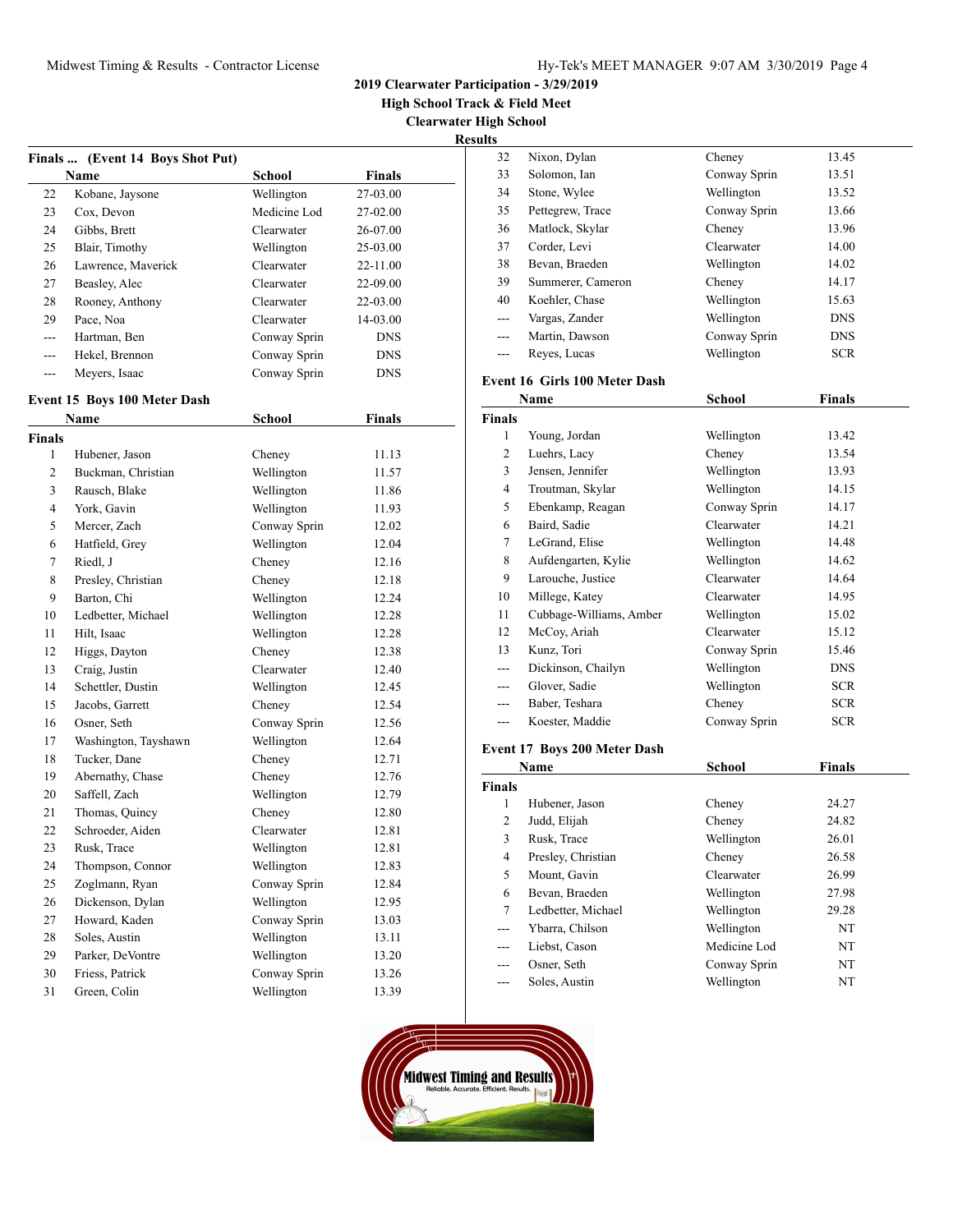**2019 Clearwater Participation - 3/29/2019**

**High School Track & Field Meet**

**Clearwater High School Results**

|         | Finals  (Event 14 Boys Shot Put) |              |               |
|---------|----------------------------------|--------------|---------------|
|         | <b>Name</b>                      | School       | <b>Finals</b> |
| 22      | Kobane, Jaysone                  | Wellington   | 27-03.00      |
| 23      | Cox, Devon                       | Medicine Lod | 27-02.00      |
| 24      | Gibbs, Brett                     | Clearwater   | 26-07.00      |
| 25      | Blair, Timothy                   | Wellington   | $25-03.00$    |
| 26      | Lawrence, Maverick               | Clearwater   | $22 - 11.00$  |
| 27      | Beasley, Alec                    | Clearwater   | 22-09.00      |
| 28      | Rooney, Anthony                  | Clearwater   | 22-03.00      |
| 29      | Pace, Noa                        | Clearwater   | $14 - 03.00$  |
| $- - -$ | Hartman, Ben                     | Conway Sprin | <b>DNS</b>    |
| ---     | Hekel, Brennon                   | Conway Sprin | <b>DNS</b>    |
| ---     | Meyers, Isaac                    | Conway Sprin | <b>DNS</b>    |

### **Event 15 Boys 100 Meter Dash**

|                | Name                 | <b>School</b> | <b>Finals</b> |  |
|----------------|----------------------|---------------|---------------|--|
| <b>Finals</b>  |                      |               |               |  |
| 1              | Hubener, Jason       | Cheney        | 11.13         |  |
| $\overline{2}$ | Buckman, Christian   | Wellington    | 11.57         |  |
| 3              | Rausch, Blake        | Wellington    | 11.86         |  |
| $\overline{4}$ | York, Gavin          | Wellington    | 11.93         |  |
| 5              | Mercer, Zach         | Conway Sprin  | 12.02         |  |
| 6              | Hatfield, Grey       | Wellington    | 12.04         |  |
| 7              | Riedl, J             | Cheney        | 12.16         |  |
| 8              | Presley, Christian   | Cheney        | 12.18         |  |
| 9              | Barton, Chi          | Wellington    | 12.24         |  |
| 10             | Ledbetter, Michael   | Wellington    | 12.28         |  |
| 11             | Hilt, Isaac          | Wellington    | 12.28         |  |
| 12             | Higgs, Dayton        | Cheney        | 12.38         |  |
| 13             | Craig, Justin        | Clearwater    | 12.40         |  |
| 14             | Schettler, Dustin    | Wellington    | 12.45         |  |
| 15             | Jacobs, Garrett      | Cheney        | 12.54         |  |
| 16             | Osner, Seth          | Conway Sprin  | 12.56         |  |
| 17             | Washington, Tayshawn | Wellington    | 12.64         |  |
| 18             | Tucker, Dane         | Cheney        | 12.71         |  |
| 19             | Abernathy, Chase     | Cheney        | 12.76         |  |
| 20             | Saffell, Zach        | Wellington    | 12.79         |  |
| 21             | Thomas, Quincy       | Cheney        | 12.80         |  |
| 22             | Schroeder, Aiden     | Clearwater    | 12.81         |  |
| 23             | Rusk, Trace          | Wellington    | 12.81         |  |
| 24             | Thompson, Connor     | Wellington    | 12.83         |  |
| 25             | Zoglmann, Ryan       | Conway Sprin  | 12.84         |  |
| 26             | Dickenson, Dylan     | Wellington    | 12.95         |  |
| 27             | Howard, Kaden        | Conway Sprin  | 13.03         |  |
| 28             | Soles, Austin        | Wellington    | 13.11         |  |
| 29             | Parker, DeVontre     | Wellington    | 13.20         |  |
| 30             | Friess, Patrick      | Conway Sprin  | 13.26         |  |
| 31             | Green, Colin         | Wellington    | 13.39         |  |

| 32             | Nixon, Dylan                                                                                  | Cheney        | 13.45         |
|----------------|-----------------------------------------------------------------------------------------------|---------------|---------------|
| 33             | Solomon, Ian                                                                                  | Conway Sprin  | 13.51         |
| 34             | Stone, Wylee                                                                                  | Wellington    | 13.52         |
| 35             | Pettegrew, Trace                                                                              | Conway Sprin  | 13.66         |
| 36             | Matlock, Skylar                                                                               | Cheney        | 13.96         |
| 37             | Corder, Levi                                                                                  | Clearwater    | 14.00         |
| 38             | Bevan, Braeden                                                                                | Wellington    | 14.02         |
| 39             | Summerer, Cameron                                                                             | Cheney        | 14.17         |
| 40             | Koehler, Chase                                                                                | Wellington    | 15.63         |
|                | Vargas, Zander                                                                                | Wellington    | <b>DNS</b>    |
| ---            | Martin, Dawson                                                                                | Conway Sprin  | <b>DNS</b>    |
| ---            | Reyes, Lucas                                                                                  | Wellington    | <b>SCR</b>    |
|                | Event 16 Girls 100 Meter Dash                                                                 |               |               |
|                | Name                                                                                          | <b>School</b> | <b>Finals</b> |
| <b>Finals</b>  |                                                                                               |               |               |
| 1              | Young, Jordan                                                                                 | Wellington    | 13.42         |
| $\overline{c}$ | Luehrs, Lacy                                                                                  | Cheney        | 13.54         |
| 3              | Jensen, Jennifer                                                                              | Wellington    | 13.93         |
| $\overline{4}$ | Troutman, Skylar                                                                              | Wellington    | 14.15         |
| 5              | Ebenkamp, Reagan                                                                              | Conway Sprin  | 14.17         |
| 6              | Baird, Sadie                                                                                  | Clearwater    | 14.21         |
| 7              | LeGrand, Elise                                                                                | Wellington    | 14.48         |
| 8              | Aufdengarten, Kylie                                                                           | Wellington    | 14.62         |
| 9              | Larouche, Justice                                                                             | Clearwater    | 14.64         |
| 10             | Millege, Katey                                                                                | Clearwater    | 14.95         |
| 11             | Cubbage-Williams, Amber                                                                       | Wellington    | 15.02         |
| 12             | McCoy, Ariah                                                                                  | Clearwater    | 15.12         |
| 13             | Kunz, Tori                                                                                    | Conway Sprin  | 15.46         |
|                | Dickinson, Chailyn                                                                            | Wellington    | <b>DNS</b>    |
|                | Glover, Sadie                                                                                 | Wellington    | <b>SCR</b>    |
| ---            | Baber, Teshara                                                                                | Cheney        | <b>SCR</b>    |
| $---$          | Koester, Maddie                                                                               | Conway Sprin  | <b>SCR</b>    |
|                | $E_{\text{total}}$ $17 \text{ D}_{\text{avg}}$ $200 \text{ M}_{\text{atom}}$ $D_{\text{col}}$ |               |               |

#### **Event 17 Boys 200 Meter Dash**

| Name          |                    | <b>School</b> | <b>Finals</b> |  |
|---------------|--------------------|---------------|---------------|--|
| <b>Finals</b> |                    |               |               |  |
| 1             | Hubener, Jason     | Cheney        | 24.27         |  |
| 2             | Judd, Elijah       | Cheney        | 24.82         |  |
| 3             | Rusk, Trace        | Wellington    | 26.01         |  |
| 4             | Presley, Christian | Cheney        | 26.58         |  |
| 5.            | Mount, Gavin       | Clearwater    | 26.99         |  |
| 6             | Bevan, Braeden     | Wellington    | 27.98         |  |
| 7             | Ledbetter, Michael | Wellington    | 29.28         |  |
| ---           | Ybarra, Chilson    | Wellington    | NT            |  |
| ---           | Liebst, Cason      | Medicine Lod  | NT            |  |
| ---           | Osner, Seth        | Conway Sprin  | NT            |  |
| ---           | Soles, Austin      | Wellington    | NT            |  |

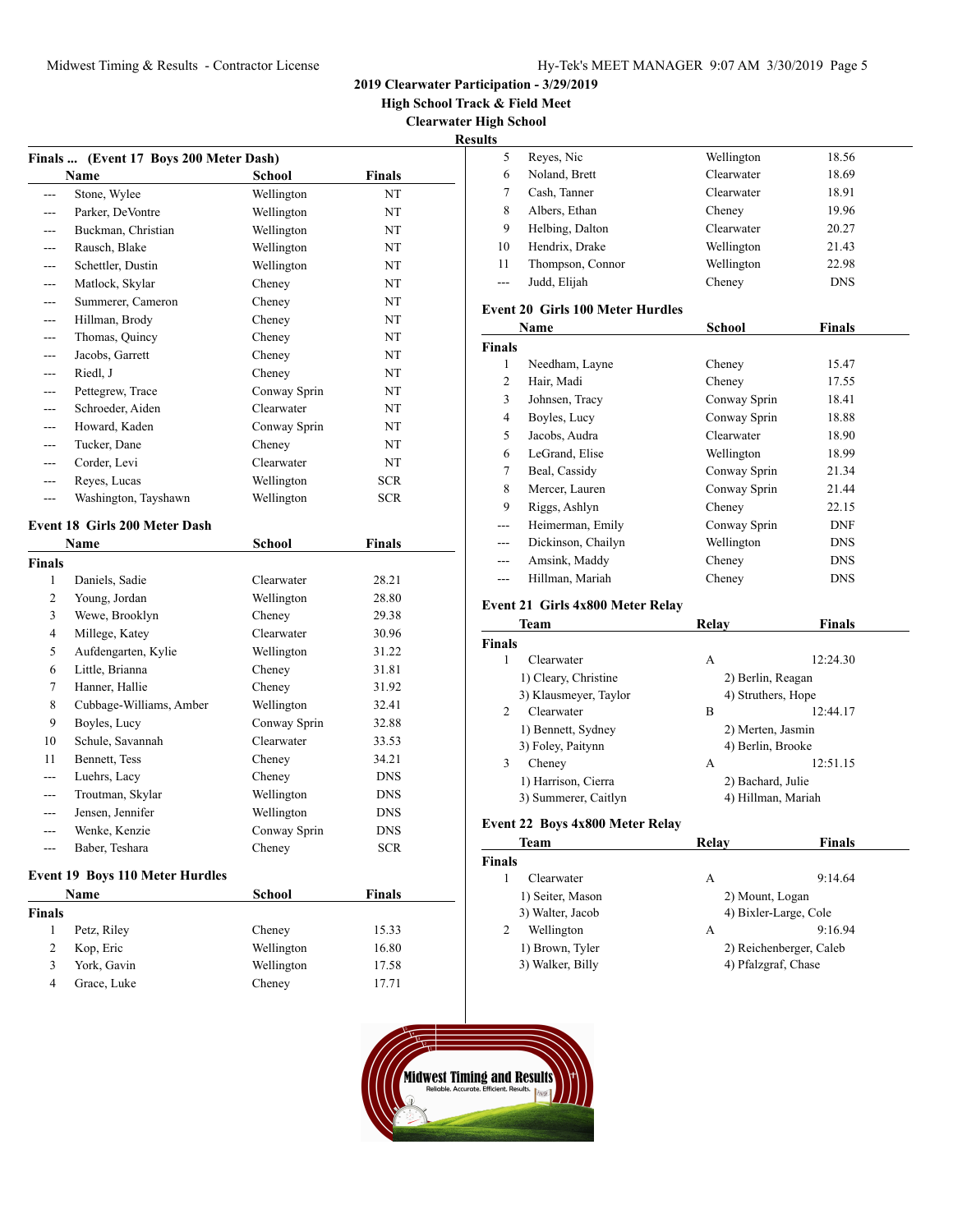**High School Track & Field Meet**

**Clearwater High School**

### **Result**

|                      | Name                                 | School                     | Finals                   |
|----------------------|--------------------------------------|----------------------------|--------------------------|
| ---                  | Stone, Wylee                         | Wellington                 | NT                       |
| ---                  | Parker, DeVontre                     | Wellington                 | NT                       |
| ---                  | Buckman, Christian                   | Wellington                 | NT                       |
| ---                  | Rausch, Blake                        | Wellington                 | NT                       |
| ---                  | Schettler, Dustin                    | Wellington                 | NT                       |
| ---                  | Matlock, Skylar                      | Cheney                     | NT                       |
|                      | Summerer, Cameron                    |                            | NT                       |
| ---                  |                                      | Cheney                     |                          |
| ---                  | Hillman, Brody                       | Cheney                     | NT                       |
| ---                  | Thomas, Quincy                       | Cheney                     | NT                       |
| ---                  | Jacobs, Garrett                      | Cheney                     | NT                       |
| ---                  | Riedl, J                             | Cheney                     | NT                       |
| ---                  | Pettegrew, Trace                     | Conway Sprin               | NT                       |
| ---                  | Schroeder, Aiden                     | Clearwater                 | NT                       |
| ---                  | Howard, Kaden                        | Conway Sprin               | NT                       |
| ---                  | Tucker, Dane                         | Cheney                     | NT                       |
| $---$                | Corder, Levi                         | Clearwater                 | NT                       |
| ---                  | Reyes, Lucas                         | Wellington                 | <b>SCR</b>               |
| ---                  | Washington, Tayshawn                 | Wellington                 | <b>SCR</b>               |
|                      |                                      |                            |                          |
|                      | <b>Event 18 Girls 200 Meter Dash</b> |                            |                          |
|                      | Name                                 | School                     | Finals                   |
|                      |                                      |                            |                          |
| 1                    | Daniels, Sadie                       | Clearwater                 | 28.21                    |
| 2                    | Young, Jordan                        | Wellington                 | 28.80                    |
| 3                    | Wewe, Brooklyn                       | Cheney                     | 29.38                    |
| $\overline{4}$       | Millege, Katey                       | Clearwater                 | 30.96                    |
| 5                    | Aufdengarten, Kylie                  | Wellington                 | 31.22                    |
| 6                    | Little, Brianna                      | Cheney                     | 31.81                    |
| 7                    | Hanner, Hallie                       | Cheney                     | 31.92                    |
| 8                    |                                      |                            | 32.41                    |
| 9                    | Cubbage-Williams, Amber              | Wellington                 | 32.88                    |
| 10                   | Boyles, Lucy<br>Schule, Savannah     | Conway Sprin<br>Clearwater | 33.53                    |
| 11                   |                                      |                            | 34.21                    |
| ---                  | Bennett, Tess                        | Cheney                     | <b>DNS</b>               |
| <b>Finals</b><br>--- | Luehrs, Lacy                         | Cheney                     | DNS                      |
| ---                  | Troutman, Skylar                     | Wellington                 |                          |
| ---                  | Jensen, Jennifer                     | Wellington                 | <b>DNS</b>               |
| ---                  | Wenke, Kenzie<br>Baber, Teshara      | Conway Sprin<br>Cheney     | <b>DNS</b><br><b>SCR</b> |

|             | School     | <b>Finals</b> |  |
|-------------|------------|---------------|--|
|             |            |               |  |
| Petz, Riley | Cheney     | 15.33         |  |
| Kop, Eric   | Wellington | 16.80         |  |
| York, Gavin | Wellington | 17.58         |  |
| Grace, Luke | Cheney     | 17.71         |  |
|             | Name       |               |  |

| ĽS    |                  |            |            |  |
|-------|------------------|------------|------------|--|
| 5     | Reyes, Nic       | Wellington | 18.56      |  |
| 6     | Noland, Brett    | Clearwater | 18.69      |  |
|       | Cash, Tanner     | Clearwater | 18.91      |  |
| 8     | Albers, Ethan    | Cheney     | 19.96      |  |
| 9     | Helbing, Dalton  | Clearwater | 20.27      |  |
| 10    | Hendrix, Drake   | Wellington | 21.43      |  |
| 11    | Thompson, Connor | Wellington | 22.98      |  |
| $---$ | Judd, Elijah     | Cheney     | <b>DNS</b> |  |
|       |                  |            |            |  |

#### **Event 20 Girls 100 Meter Hurdles**

| Name          |                    | <b>School</b> | <b>Finals</b> |  |  |
|---------------|--------------------|---------------|---------------|--|--|
| <b>Finals</b> |                    |               |               |  |  |
| 1             | Needham, Layne     | Cheney        | 15.47         |  |  |
| 2             | Hair. Madi         | Cheney        | 17.55         |  |  |
| 3             | Johnsen, Tracy     | Conway Sprin  | 18.41         |  |  |
| 4             | Boyles, Lucy       | Conway Sprin  | 18.88         |  |  |
| 5             | Jacobs, Audra      | Clearwater    | 18.90         |  |  |
| 6             | LeGrand, Elise     | Wellington    | 18.99         |  |  |
| 7             | Beal, Cassidy      | Conway Sprin  | 21.34         |  |  |
| 8             | Mercer, Lauren     | Conway Sprin  | 21.44         |  |  |
| 9             | Riggs, Ashlyn      | Cheney        | 22.15         |  |  |
| ---           | Heimerman, Emily   | Conway Sprin  | <b>DNF</b>    |  |  |
| ---           | Dickinson, Chailyn | Wellington    | <b>DNS</b>    |  |  |
| ---           | Amsink, Maddy      | Cheney        | <b>DNS</b>    |  |  |
| ---           | Hillman, Mariah    | Cheney        | <b>DNS</b>    |  |  |

### **Event 21 Girls 4x800 Meter Relay**

| Team                         | Relav             | Finals             |
|------------------------------|-------------------|--------------------|
| <b>Finals</b>                |                   |                    |
| Clearwater                   | A                 | 12:24.30           |
| 1) Cleary, Christine         | 2) Berlin, Reagan |                    |
| 3) Klausmeyer, Taylor        |                   | 4) Struthers, Hope |
| $\mathfrak{D}$<br>Clearwater | B                 | 12:44.17           |
| 1) Bennett, Sydney           | 2) Merten, Jasmin |                    |
| 3) Foley, Paitynn            | 4) Berlin, Brooke |                    |
| 3<br>Cheney                  | А                 | 12:51.15           |
| 1) Harrison, Cierra          | 2) Bachard, Julie |                    |
| 3) Summerer, Caitlyn         |                   | 4) Hillman, Mariah |

# **Event 22 Boys 4x800 Meter Relay**

| Team             | Relav               | <b>Finals</b>           |
|------------------|---------------------|-------------------------|
| <b>Finals</b>    |                     |                         |
| Clearwater       | A                   | 9:14.64                 |
| 1) Seiter, Mason | 2) Mount, Logan     |                         |
| 3) Walter, Jacob |                     | 4) Bixler-Large, Cole   |
| Wellington<br>2  | А                   | 9:16.94                 |
| 1) Brown, Tyler  |                     | 2) Reichenberger, Caleb |
| 3) Walker, Billy | 4) Pfalzgraf, Chase |                         |

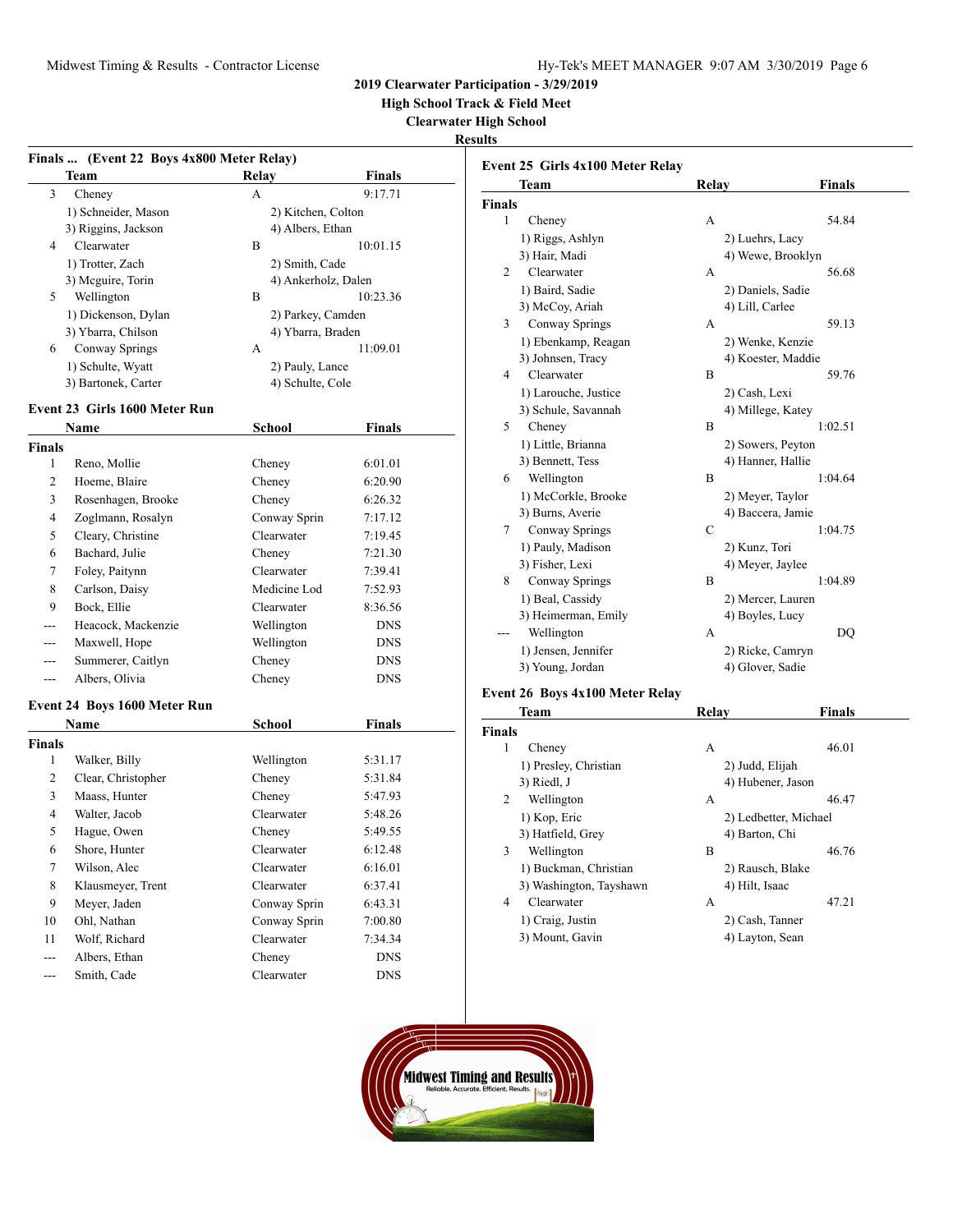**High School Track & Field Meet**

**Clearwater High School**

**Results**

|               | Finals  (Event 22 Boys 4x800 Meter Relay) |                     |                    |
|---------------|-------------------------------------------|---------------------|--------------------|
|               | Team                                      | Relay               | <b>Finals</b>      |
| 3             | Cheney                                    | A                   | 9:17.71            |
|               | 1) Schneider, Mason                       | 2) Kitchen, Colton  |                    |
|               | 3) Riggins, Jackson                       | 4) Albers, Ethan    |                    |
| 4             | Clearwater                                | B                   | 10:01.15           |
|               | 1) Trotter, Zach                          | 2) Smith, Cade      |                    |
|               | 3) Mcguire, Torin                         | 4) Ankerholz, Dalen |                    |
| 5             | Wellington                                | B                   | 10:23.36           |
|               | 1) Dickenson, Dylan                       | 2) Parkey, Camden   |                    |
|               | 3) Ybarra, Chilson                        | 4) Ybarra, Braden   |                    |
| 6             | Conway Springs                            | А                   | 11:09.01           |
|               | 1) Schulte, Wyatt                         | 2) Pauly, Lance     |                    |
|               | 3) Bartonek, Carter                       | 4) Schulte, Cole    |                    |
|               | Event 23 Girls 1600 Meter Run             |                     |                    |
|               | Name                                      | School              | Finals             |
| <b>Finals</b> |                                           |                     |                    |
| 1             | Reno, Mollie                              | Cheney              | 6:01.01            |
| 2             | Hoeme, Blaire                             | Cheney              | 6:20.90            |
| 3             | Rosenhagen, Brooke                        | Cheney              | 6:26.32            |
| 4             |                                           | Conway Sprin        | 7:17.12            |
| 5             | Zoglmann, Rosalyn                         | Clearwater          | 7:19.45            |
|               | Cleary, Christine                         |                     |                    |
| 6             | Bachard, Julie                            | Cheney              | 7:21.30            |
| 7             | Foley, Paitynn                            | Clearwater          | 7:39.41            |
| 8             | Carlson, Daisy                            | Medicine Lod        | 7:52.93            |
| 9             | Bock, Ellie                               | Clearwater          | 8:36.56            |
| ---           | Heacock, Mackenzie                        | Wellington          | <b>DNS</b>         |
| $---$         | Maxwell, Hope                             | Wellington          | <b>DNS</b>         |
| ---           | Summerer, Caitlyn                         | Cheney              | <b>DNS</b>         |
|               | Albers, Olivia                            | Cheney              | <b>DNS</b>         |
|               | Event 24 Boys 1600 Meter Run              |                     |                    |
|               | Name                                      | School              | <b>Finals</b>      |
| <b>Finals</b> |                                           |                     |                    |
| 1             | Walker, Billy                             | Wellington          | 5:31.17            |
| 2             | Clear, Christopher                        | Cheney              | 5:31.84            |
| 3             | Maass, Hunter                             | Cheney              | 5:47.93            |
| 4             | Walter, Jacob                             | Clearwater          | 5:48.26            |
| 5             | Hague, Owen                               | Cheney              | 5:49.55            |
| 6             |                                           | Clearwater          |                    |
| $\tau$        | Shore, Hunter<br>Wilson, Alec             | Clearwater          | 6:12.48<br>6:16.01 |
| 8             | Klausmeyer, Trent                         | Clearwater          | 6:37.41            |
| 9             | Meyer, Jaden                              | Conway Sprin        |                    |
|               |                                           | Conway Sprin        | 6:43.31            |
| 10            | Ohl, Nathan                               |                     | 7:00.80<br>7:34.34 |
| 11            | Wolf, Richard                             | Clearwater          |                    |
| ---           | Albers, Ethan                             | Cheney              | <b>DNS</b>         |
| ---           | Smith, Cade                               | Clearwater          | <b>DNS</b>         |

|               | Event 25 Girls 4x100 Meter Relay |             |                    |
|---------------|----------------------------------|-------------|--------------------|
|               | Team                             | Relay       | Finals             |
| <b>Finals</b> |                                  |             |                    |
| 1             | Cheney                           | A           | 54.84              |
|               | 1) Riggs, Ashlyn                 |             | 2) Luehrs, Lacy    |
|               | 3) Hair, Madi                    |             | 4) Wewe, Brooklyn  |
| 2             | Clearwater                       | A           | 56.68              |
|               | 1) Baird, Sadie                  |             | 2) Daniels, Sadie  |
|               | 3) McCoy, Ariah                  |             | 4) Lill, Carlee    |
| 3             | Conway Springs                   | А           | 59.13              |
|               | 1) Ebenkamp, Reagan              |             | 2) Wenke, Kenzie   |
|               | 3) Johnsen, Tracy                |             | 4) Koester, Maddie |
| 4             | Clearwater                       | B           | 59.76              |
|               | 1) Larouche, Justice             |             | 2) Cash, Lexi      |
|               | 3) Schule, Savannah              |             | 4) Millege, Katey  |
| 5             | Cheney                           | B           | 1:02.51            |
|               | 1) Little, Brianna               |             | 2) Sowers, Peyton  |
|               | 3) Bennett, Tess                 |             | 4) Hanner, Hallie  |
| 6             | Wellington                       | B           | 1:04.64            |
|               | 1) McCorkle, Brooke              |             | 2) Meyer, Taylor   |
|               | 3) Burns, Averie                 |             | 4) Baccera, Jamie  |
| 7             | Conway Springs                   | $\mathbf C$ | 1:04.75            |
|               | 1) Pauly, Madison                |             | 2) Kunz, Tori      |
|               | 3) Fisher, Lexi                  |             | 4) Meyer, Jaylee   |
| 8             | Conway Springs                   | B           | 1:04.89            |
|               | 1) Beal, Cassidy                 |             | 2) Mercer, Lauren  |
|               | 3) Heimerman, Emily              |             | 4) Boyles, Lucy    |
|               | Wellington                       | A           | DQ                 |
|               | 1) Jensen, Jennifer              |             | 2) Ricke, Camryn   |
|               | 3) Young, Jordan                 |             | 4) Glover, Sadie   |
|               |                                  |             |                    |

## **Event 26 Boys 4x100 Meter Relay**

| Team          |                         | Relav             | <b>Finals</b>         |
|---------------|-------------------------|-------------------|-----------------------|
| <b>Finals</b> |                         |                   |                       |
| 1             | Cheney                  | А                 | 46.01                 |
|               | 1) Presley, Christian   | 2) Judd, Elijah   |                       |
|               | 3) Riedl, J             | 4) Hubener, Jason |                       |
| 2             | Wellington              | А                 | 46.47                 |
|               | 1) Kop, Eric            |                   | 2) Ledbetter, Michael |
|               | 3) Hatfield, Grey       | 4) Barton, Chi    |                       |
| 3             | Wellington              | B                 | 46.76                 |
|               | 1) Buckman, Christian   | 2) Rausch, Blake  |                       |
|               | 3) Washington, Tayshawn | 4) Hilt, Isaac    |                       |
| 4             | Clearwater              | А                 | 47.21                 |
|               | 1) Craig, Justin        | 2) Cash, Tanner   |                       |
|               | 3) Mount, Gavin         | 4) Layton, Sean   |                       |

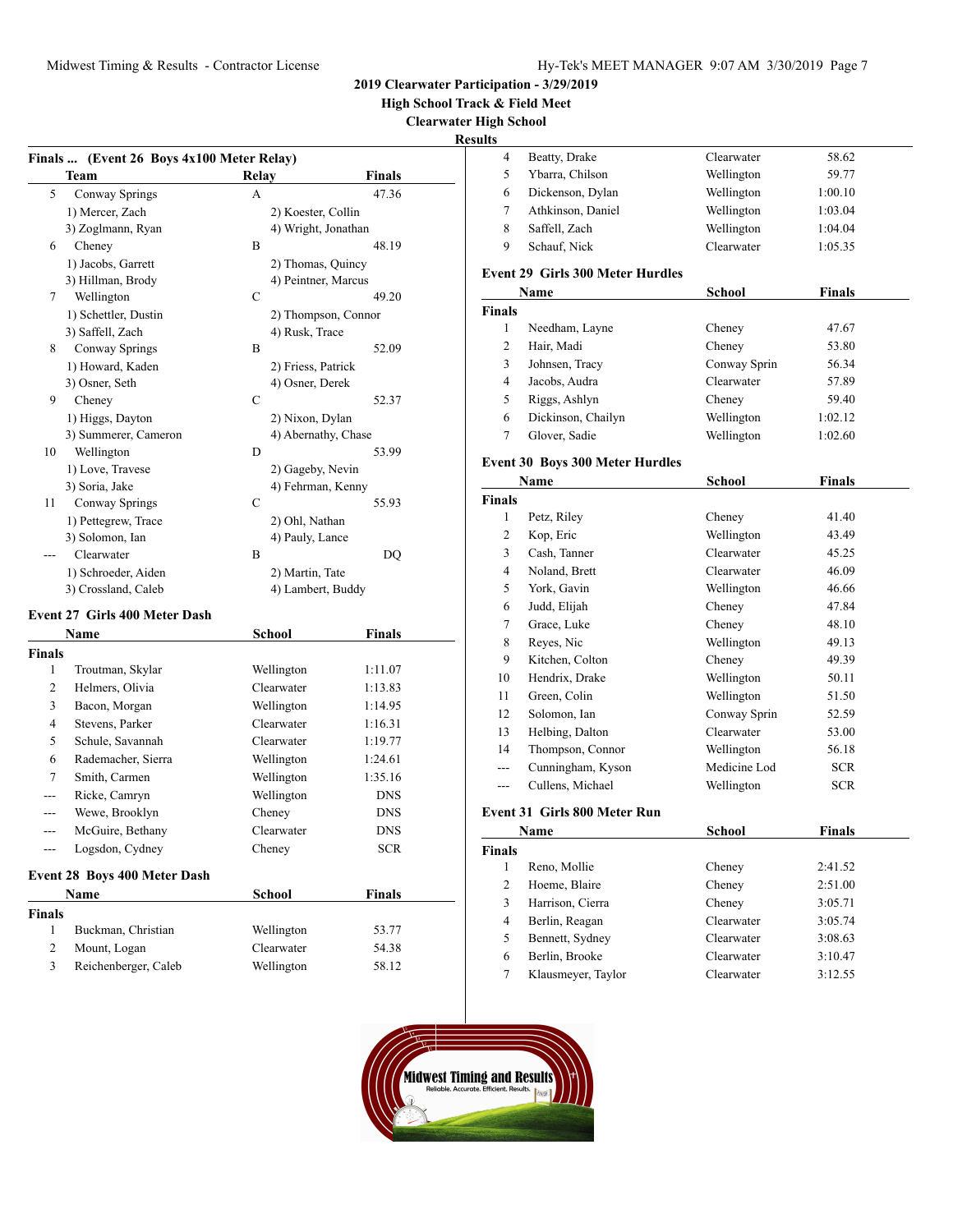**High School Track & Field Meet**

**Clearwater High School**

# **Results**

|                | Finals  (Event 26 Boys 4x100 Meter Relay) |                     |               |
|----------------|-------------------------------------------|---------------------|---------------|
|                | Team                                      | Relay               | Finals        |
| 5              | Conway Springs                            | А                   | 47.36         |
|                | 1) Mercer, Zach                           | 2) Koester, Collin  |               |
|                | 3) Zoglmann, Ryan                         | 4) Wright, Jonathan |               |
| 6              | Cheney                                    | B                   | 48.19         |
|                | 1) Jacobs, Garrett                        | 2) Thomas, Quincy   |               |
|                | 3) Hillman, Brody                         | 4) Peintner, Marcus |               |
| 7              | Wellington                                | C                   | 49.20         |
|                | 1) Schettler, Dustin                      | 2) Thompson, Connor |               |
|                | 3) Saffell, Zach                          | 4) Rusk, Trace      |               |
| 8              | Conway Springs                            | B                   | 52.09         |
|                | 1) Howard, Kaden                          | 2) Friess, Patrick  |               |
|                | 3) Osner, Seth                            | 4) Osner, Derek     |               |
| 9              | Cheney                                    | C                   | 52.37         |
|                | 1) Higgs, Dayton                          | 2) Nixon, Dylan     |               |
|                | 3) Summerer, Cameron                      | 4) Abernathy, Chase |               |
| 10             | Wellington                                | D                   | 53.99         |
|                | 1) Love, Travese                          | 2) Gageby, Nevin    |               |
|                | 3) Soria, Jake                            | 4) Fehrman, Kenny   |               |
| 11             | Conway Springs                            | C                   | 55.93         |
|                | 1) Pettegrew, Trace                       | 2) Ohl, Nathan      |               |
|                | 3) Solomon, Ian                           | 4) Pauly, Lance     |               |
|                | Clearwater                                | B                   | DQ            |
|                | 1) Schroeder, Aiden                       | 2) Martin, Tate     |               |
|                | 3) Crossland, Caleb                       | 4) Lambert, Buddy   |               |
|                | <b>Event 27 Girls 400 Meter Dash</b>      |                     |               |
|                | Name                                      | School              | <b>Finals</b> |
| Finals         |                                           |                     |               |
| 1              | Troutman, Skylar                          | Wellington          | 1:11.07       |
| 2              | Helmers, Olivia                           | Clearwater          | 1:13.83       |
| 3              | Bacon, Morgan                             | Wellington          | 1:14.95       |
| $\overline{4}$ | Stevens, Parker                           | Clearwater          | 1:16.31       |
| 5              | Schule, Savannah                          | Clearwater          | 1:19.77       |
| 6              | Rademacher, Sierra                        | Wellington          | 1:24.61       |
| 7              | Smith, Carmen                             | Wellington          | 1:35.16       |
| ---            | Ricke, Camryn                             | Wellington          | <b>DNS</b>    |
| ---            | Wewe, Brooklyn                            | Cheney              | DNS           |
| ---            | McGuire, Bethany                          | Clearwater          | <b>DNS</b>    |
| $\frac{1}{2}$  | Logsdon, Cydney                           | Cheney              | <b>SCR</b>    |
|                | <b>Event 28 Boys 400 Meter Dash</b>       |                     |               |
|                | Name                                      | School              | <b>Finals</b> |
| Finals         |                                           |                     |               |
| 1              | Buckman, Christian                        | Wellington          | 53.77         |
| 2              | Mount, Logan                              | Clearwater          | 54.38         |

3 Reichenberger, Caleb Wellington 58.12

| ums            |                                         |               |                |  |
|----------------|-----------------------------------------|---------------|----------------|--|
| 4              | Beatty, Drake                           | Clearwater    | 58.62          |  |
| 5              | Ybarra, Chilson                         | Wellington    | 59.77          |  |
| 6              | Dickenson, Dylan                        | Wellington    | 1:00.10        |  |
| 7              | Athkinson, Daniel                       | Wellington    | 1:03.04        |  |
| 8              | Saffell, Zach                           | Wellington    | 1:04.04        |  |
| 9              | Schauf, Nick                            | Clearwater    | 1:05.35        |  |
|                | <b>Event 29 Girls 300 Meter Hurdles</b> |               |                |  |
|                | Name                                    | <b>School</b> | <b>Finals</b>  |  |
| Finals         |                                         |               |                |  |
| 1              | Needham, Layne                          | Cheney        | 47.67          |  |
| 2              | Hair, Madi                              | Cheney        | 53.80          |  |
| 3              | Johnsen, Tracy                          | Conway Sprin  | 56.34          |  |
| 4              | Jacobs, Audra                           | Clearwater    | 57.89          |  |
| 5              | Riggs, Ashlyn                           | Cheney        | 59.40          |  |
| 6              | Dickinson, Chailyn                      | Wellington    | 1:02.12        |  |
| 7              | Glover, Sadie                           | Wellington    | 1:02.60        |  |
|                | <b>Event 30 Boys 300 Meter Hurdles</b>  |               |                |  |
|                | Name                                    | School        | Finals         |  |
| <b>Finals</b>  |                                         |               |                |  |
| 1              | Petz, Riley                             | Cheney        | 41.40          |  |
| 2              | Kop, Eric                               | Wellington    | 43.49          |  |
| 3              | Cash. Tanner                            | Clearwater    | 45.25          |  |
| 4              | Noland, Brett                           | Clearwater    | 46.09          |  |
| 5              | York, Gavin                             | Wellington    | 46.66          |  |
| 6              | Judd, Elijah                            | Cheney        | 47.84          |  |
| 7              | Grace, Luke                             | Cheney        | 48.10          |  |
| 8              | Reyes, Nic                              | Wellington    | 49.13          |  |
| 9              | Kitchen, Colton                         | Cheney        | 49.39          |  |
| 10             | Hendrix, Drake                          | Wellington    | 50.11          |  |
| 11             | Green, Colin                            | Wellington    | 51.50          |  |
| 12             | Solomon, Ian                            | Conway Sprin  | 52.59          |  |
|                | Helbing, Dalton                         | Clearwater    |                |  |
| 13<br>14       | Thompson, Connor                        | Wellington    | 53.00<br>56.18 |  |
| ---            | Cunningham, Kyson                       | Medicine Lod  | SCR            |  |
| ---            | Cullens, Michael                        | Wellington    | <b>SCR</b>     |  |
|                |                                         |               |                |  |
|                | Event 31 Girls 800 Meter Run            |               |                |  |
|                | Na <u>me</u>                            | School        | <b>Finals</b>  |  |
| Finals         |                                         |               |                |  |
| 1              | Reno, Mollie                            | Cheney        | 2:41.52        |  |
| $\overline{2}$ | Hoeme, Blaire                           | Cheney        | 2:51.00        |  |
| 3              | Harrison, Cierra                        | Cheney        | 3:05.71        |  |
| 4              | Berlin, Reagan                          | Clearwater    | 3:05.74        |  |
| 5              | Bennett, Sydney                         | Clearwater    | 3:08.63        |  |
| 6              | Berlin, Brooke                          | Clearwater    | 3:10.47        |  |
| 7              | Klausmeyer, Taylor                      | Clearwater    | 3:12.55        |  |